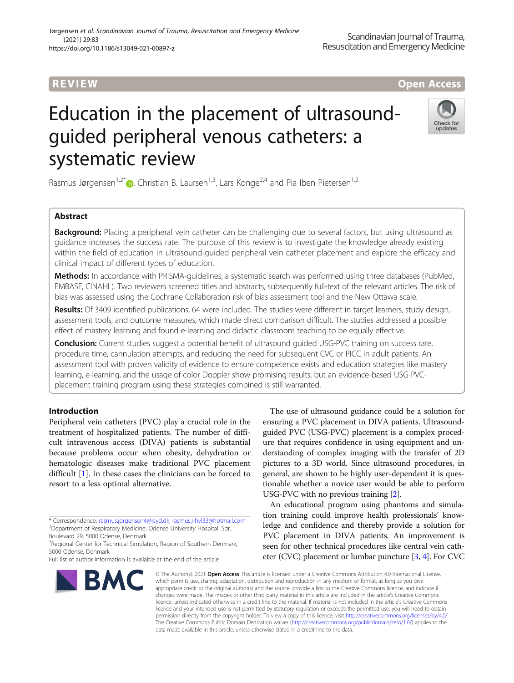### R EVI EW Open Access

# Education in the placement of ultrasoundguided peripheral venous catheters: a systematic review



Rasmus Jørgensen<sup>1[,](http://orcid.org/0000-0003-0884-7671)2\*</sup> $\bullet$ , Christian B. Laursen<sup>1,3</sup>, Lars Konge<sup>2,4</sup> and Pia Iben Pietersen<sup>1,2</sup>

#### Abstract

Background: Placing a peripheral vein catheter can be challenging due to several factors, but using ultrasound as guidance increases the success rate. The purpose of this review is to investigate the knowledge already existing within the field of education in ultrasound-guided peripheral vein catheter placement and explore the efficacy and clinical impact of different types of education.

Methods: In accordance with PRISMA-quidelines, a systematic search was performed using three databases (PubMed, EMBASE, CINAHL). Two reviewers screened titles and abstracts, subsequently full-text of the relevant articles. The risk of bias was assessed using the Cochrane Collaboration risk of bias assessment tool and the New Ottawa scale.

Results: Of 3409 identified publications, 64 were included. The studies were different in target learners, study design, assessment tools, and outcome measures, which made direct comparison difficult. The studies addressed a possible effect of mastery learning and found e-learning and didactic classroom teaching to be equally effective.

Conclusion: Current studies suggest a potential benefit of ultrasound guided USG-PVC training on success rate, procedure time, cannulation attempts, and reducing the need for subsequent CVC or PICC in adult patients. An assessment tool with proven validity of evidence to ensure competence exists and education strategies like mastery learning, e-learning, and the usage of color Doppler show promising results, but an evidence-based USG-PVCplacement training program using these strategies combined is still warranted.

#### Introduction

Peripheral vein catheters (PVC) play a crucial role in the treatment of hospitalized patients. The number of difficult intravenous access (DIVA) patients is substantial because problems occur when obesity, dehydration or hematologic diseases make traditional PVC placement difficult [\[1](#page-10-0)]. In these cases the clinicians can be forced to resort to a less optimal alternative.

\* Correspondence: [rasmus.jorgensen4@rsyd.dk](mailto:rasmus.jorgensen4@rsyd.dk); [rasmus.j-hvl33@hotmail.com](mailto:rasmus.j-hvl33@hotmail.com) <sup>1</sup> <sup>1</sup>Department of Respiratory Medicine, Odense University Hospital, Sdr.

<sup>2</sup> Regional Center for Technical Simulation, Region of Southern Denmark, 5000 Odense, Denmark

Full list of author information is available at the end of the article



The use of ultrasound guidance could be a solution for ensuring a PVC placement in DIVA patients. Ultrasoundguided PVC (USG-PVC) placement is a complex procedure that requires confidence in using equipment and understanding of complex imaging with the transfer of 2D pictures to a 3D world. Since ultrasound procedures, in general, are shown to be highly user-dependent it is questionable whether a novice user would be able to perform USG-PVC with no previous training [\[2](#page-10-0)].

An educational program using phantoms and simulation training could improve health professionals' knowledge and confidence and thereby provide a solution for PVC placement in DIVA patients. An improvement is seen for other technical procedures like central vein catheter (CVC) placement or lumbar puncture [\[3,](#page-10-0) [4\]](#page-10-0). For CVC

© The Author(s). 2021 Open Access This article is licensed under a Creative Commons Attribution 4.0 International License, which permits use, sharing, adaptation, distribution and reproduction in any medium or format, as long as you give appropriate credit to the original author(s) and the source, provide a link to the Creative Commons licence, and indicate if changes were made. The images or other third party material in this article are included in the article's Creative Commons licence, unless indicated otherwise in a credit line to the material. If material is not included in the article's Creative Commons licence and your intended use is not permitted by statutory regulation or exceeds the permitted use, you will need to obtain permission directly from the copyright holder. To view a copy of this licence, visit [http://creativecommons.org/licenses/by/4.0/.](http://creativecommons.org/licenses/by/4.0/) The Creative Commons Public Domain Dedication waiver [\(http://creativecommons.org/publicdomain/zero/1.0/](http://creativecommons.org/publicdomain/zero/1.0/)) applies to the data made available in this article, unless otherwise stated in a credit line to the data.

Boulevard 29, 5000 Odense, Denmark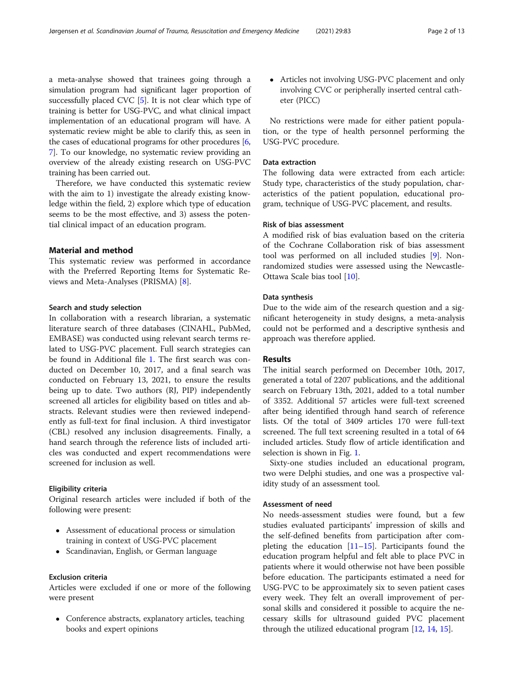a meta-analyse showed that trainees going through a simulation program had significant lager proportion of successfully placed CVC [\[5](#page-10-0)]. It is not clear which type of training is better for USG-PVC, and what clinical impact implementation of an educational program will have. A systematic review might be able to clarify this, as seen in the cases of educational programs for other procedures [[6](#page-10-0), [7\]](#page-10-0). To our knowledge, no systematic review providing an overview of the already existing research on USG-PVC training has been carried out.

Therefore, we have conducted this systematic review with the aim to 1) investigate the already existing knowledge within the field, 2) explore which type of education seems to be the most effective, and 3) assess the potential clinical impact of an education program.

#### Material and method

This systematic review was performed in accordance with the Preferred Reporting Items for Systematic Reviews and Meta-Analyses (PRISMA) [\[8](#page-10-0)].

#### Search and study selection

In collaboration with a research librarian, a systematic literature search of three databases (CINAHL, PubMed, EMBASE) was conducted using relevant search terms related to USG-PVC placement. Full search strategies can be found in Additional file [1.](#page-9-0) The first search was conducted on December 10, 2017, and a final search was conducted on February 13, 2021, to ensure the results being up to date. Two authors (RJ, PIP) independently screened all articles for eligibility based on titles and abstracts. Relevant studies were then reviewed independently as full-text for final inclusion. A third investigator (CBL) resolved any inclusion disagreements. Finally, a hand search through the reference lists of included articles was conducted and expert recommendations were screened for inclusion as well.

#### Eligibility criteria

Original research articles were included if both of the following were present:

- Assessment of educational process or simulation training in context of USG-PVC placement
- Scandinavian, English, or German language

#### Exclusion criteria

Articles were excluded if one or more of the following were present

 Conference abstracts, explanatory articles, teaching books and expert opinions

 Articles not involving USG-PVC placement and only involving CVC or peripherally inserted central catheter (PICC)

No restrictions were made for either patient population, or the type of health personnel performing the USG-PVC procedure.

#### Data extraction

The following data were extracted from each article: Study type, characteristics of the study population, characteristics of the patient population, educational program, technique of USG-PVC placement, and results.

#### Risk of bias assessment

A modified risk of bias evaluation based on the criteria of the Cochrane Collaboration risk of bias assessment tool was performed on all included studies [[9](#page-10-0)]. Nonrandomized studies were assessed using the Newcastle-Ottawa Scale bias tool [[10\]](#page-10-0).

#### Data synthesis

Due to the wide aim of the research question and a significant heterogeneity in study designs, a meta-analysis could not be performed and a descriptive synthesis and approach was therefore applied.

#### Results

The initial search performed on December 10th, 2017, generated a total of 2207 publications, and the additional search on February 13th, 2021, added to a total number of 3352. Additional 57 articles were full-text screened after being identified through hand search of reference lists. Of the total of 3409 articles 170 were full-text screened. The full text screening resulted in a total of 64 included articles. Study flow of article identification and selection is shown in Fig. [1](#page-2-0).

Sixty-one studies included an educational program, two were Delphi studies, and one was a prospective validity study of an assessment tool.

#### Assessment of need

No needs-assessment studies were found, but a few studies evaluated participants' impression of skills and the self-defined benefits from participation after completing the education [[11](#page-10-0)–[15](#page-10-0)]. Participants found the education program helpful and felt able to place PVC in patients where it would otherwise not have been possible before education. The participants estimated a need for USG-PVC to be approximately six to seven patient cases every week. They felt an overall improvement of personal skills and considered it possible to acquire the necessary skills for ultrasound guided PVC placement through the utilized educational program [\[12,](#page-10-0) [14,](#page-10-0) [15\]](#page-10-0).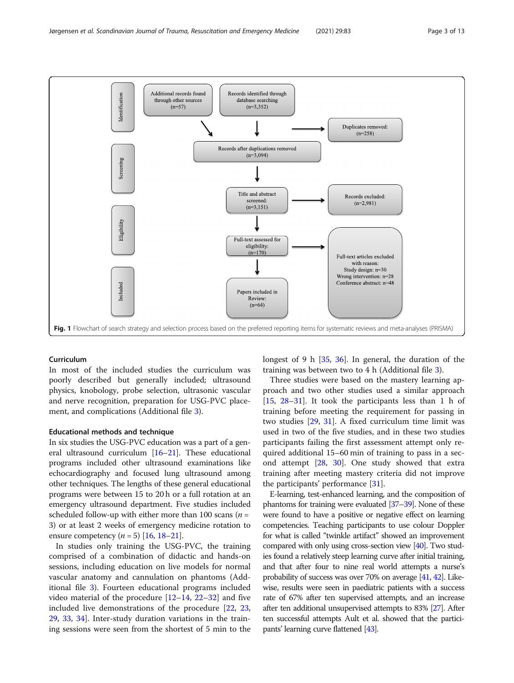<span id="page-2-0"></span>

#### Curriculum

In most of the included studies the curriculum was poorly described but generally included; ultrasound physics, knobology, probe selection, ultrasonic vascular and nerve recognition, preparation for USG-PVC placement, and complications (Additional file [3](#page-9-0)).

#### Educational methods and technique

In six studies the USG-PVC education was a part of a general ultrasound curriculum [\[16](#page-10-0)–[21](#page-10-0)]. These educational programs included other ultrasound examinations like echocardiography and focused lung ultrasound among other techniques. The lengths of these general educational programs were between 15 to 20 h or a full rotation at an emergency ultrasound department. Five studies included scheduled follow-up with either more than 100 scans ( $n =$ 3) or at least 2 weeks of emergency medicine rotation to ensure competency ( $n = 5$ ) [\[16,](#page-10-0) [18](#page-10-0)–[21\]](#page-10-0).

In studies only training the USG-PVC, the training comprised of a combination of didactic and hands-on sessions, including education on live models for normal vascular anatomy and cannulation on phantoms (Additional file [3](#page-9-0)). Fourteen educational programs included video material of the procedure  $[12-14, 22-32]$  $[12-14, 22-32]$  $[12-14, 22-32]$  $[12-14, 22-32]$  $[12-14, 22-32]$  $[12-14, 22-32]$  $[12-14, 22-32]$  $[12-14, 22-32]$  and five included live demonstrations of the procedure [\[22,](#page-10-0) [23](#page-10-0), [29,](#page-10-0) [33](#page-11-0), [34](#page-11-0)]. Inter-study duration variations in the training sessions were seen from the shortest of 5 min to the longest of 9 h [\[35](#page-11-0), [36](#page-11-0)]. In general, the duration of the training was between two to 4 h (Additional file [3](#page-9-0)).

Three studies were based on the mastery learning approach and two other studies used a similar approach [[15,](#page-10-0) [28](#page-10-0)–[31\]](#page-10-0). It took the participants less than 1 h of training before meeting the requirement for passing in two studies [\[29](#page-10-0), [31\]](#page-10-0). A fixed curriculum time limit was used in two of the five studies, and in these two studies participants failing the first assessment attempt only required additional 15–60 min of training to pass in a second attempt [[28,](#page-10-0) [30\]](#page-10-0). One study showed that extra training after meeting mastery criteria did not improve the participants' performance [\[31](#page-10-0)].

E-learning, test-enhanced learning, and the composition of phantoms for training were evaluated [\[37](#page-11-0)–[39](#page-11-0)]. None of these were found to have a positive or negative effect on learning competencies. Teaching participants to use colour Doppler for what is called "twinkle artifact" showed an improvement compared with only using cross-section view [\[40\]](#page-11-0). Two studies found a relatively steep learning curve after initial training, and that after four to nine real world attempts a nurse's probability of success was over 70% on average [[41,](#page-11-0) [42\]](#page-11-0). Likewise, results were seen in paediatric patients with a success rate of 67% after ten supervised attempts, and an increase after ten additional unsupervised attempts to 83% [\[27\]](#page-10-0). After ten successful attempts Ault et al. showed that the participants' learning curve flattened [\[43\]](#page-11-0).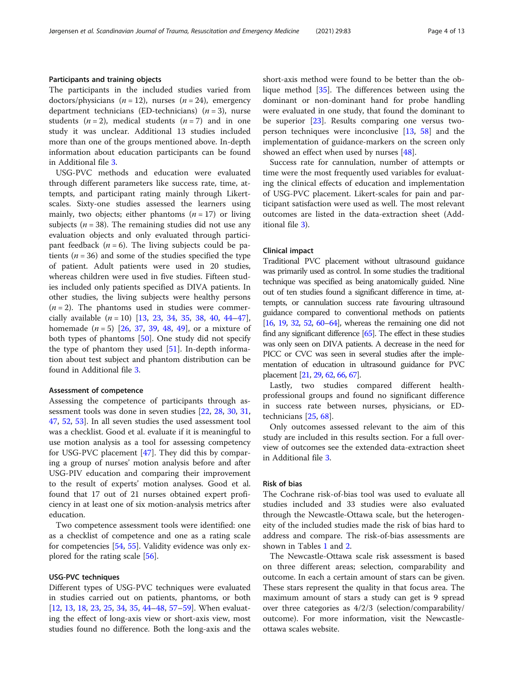#### Participants and training objects

The participants in the included studies varied from doctors/physicians  $(n = 12)$ , nurses  $(n = 24)$ , emergency department technicians (ED-technicians)  $(n = 3)$ , nurse students  $(n = 2)$ , medical students  $(n = 7)$  and in one study it was unclear. Additional 13 studies included more than one of the groups mentioned above. In-depth information about education participants can be found in Additional file [3.](#page-9-0)

USG-PVC methods and education were evaluated through different parameters like success rate, time, attempts, and participant rating mainly through Likertscales. Sixty-one studies assessed the learners using mainly, two objects; either phantoms  $(n = 17)$  or living subjects ( $n = 38$ ). The remaining studies did not use any evaluation objects and only evaluated through participant feedback  $(n = 6)$ . The living subjects could be patients ( $n = 36$ ) and some of the studies specified the type of patient. Adult patients were used in 20 studies, whereas children were used in five studies. Fifteen studies included only patients specified as DIVA patients. In other studies, the living subjects were healthy persons  $(n = 2)$ . The phantoms used in studies were commercially available  $(n = 10)$  [\[13](#page-10-0), [23,](#page-10-0) [34](#page-11-0), [35,](#page-11-0) [38](#page-11-0), [40,](#page-11-0) [44](#page-11-0)–[47](#page-11-0)], homemade  $(n = 5)$  [[26,](#page-10-0) [37,](#page-11-0) [39](#page-11-0), [48](#page-11-0), [49\]](#page-11-0), or a mixture of both types of phantoms [\[50\]](#page-11-0). One study did not specify the type of phantom they used [[51\]](#page-11-0). In-depth information about test subject and phantom distribution can be found in Additional file [3.](#page-9-0)

#### Assessment of competence

Assessing the competence of participants through assessment tools was done in seven studies [[22,](#page-10-0) [28](#page-10-0), [30](#page-10-0), [31](#page-10-0), [47,](#page-11-0) [52,](#page-11-0) [53](#page-11-0)]. In all seven studies the used assessment tool was a checklist. Good et al. evaluate if it is meaningful to use motion analysis as a tool for assessing competency for USG-PVC placement [[47\]](#page-11-0). They did this by comparing a group of nurses' motion analysis before and after USG-PIV education and comparing their improvement to the result of experts' motion analyses. Good et al. found that 17 out of 21 nurses obtained expert proficiency in at least one of six motion-analysis metrics after education.

Two competence assessment tools were identified: one as a checklist of competence and one as a rating scale for competencies [\[54,](#page-11-0) [55\]](#page-11-0). Validity evidence was only explored for the rating scale [[56\]](#page-11-0).

#### USG-PVC techniques

Different types of USG-PVC techniques were evaluated in studies carried out on patients, phantoms, or both [[12,](#page-10-0) [13,](#page-10-0) [18,](#page-10-0) [23,](#page-10-0) [25,](#page-10-0) [34,](#page-11-0) [35](#page-11-0), [44](#page-11-0)–[48,](#page-11-0) [57](#page-11-0)–[59\]](#page-11-0). When evaluating the effect of long-axis view or short-axis view, most studies found no difference. Both the long-axis and the short-axis method were found to be better than the oblique method [\[35](#page-11-0)]. The differences between using the dominant or non-dominant hand for probe handling were evaluated in one study, that found the dominant to be superior [[23\]](#page-10-0). Results comparing one versus twoperson techniques were inconclusive  $[13, 58]$  $[13, 58]$  $[13, 58]$  $[13, 58]$  and the implementation of guidance-markers on the screen only showed an effect when used by nurses [[48](#page-11-0)].

Success rate for cannulation, number of attempts or time were the most frequently used variables for evaluating the clinical effects of education and implementation of USG-PVC placement. Likert-scales for pain and participant satisfaction were used as well. The most relevant outcomes are listed in the data-extraction sheet (Additional file [3\)](#page-9-0).

#### Clinical impact

Traditional PVC placement without ultrasound guidance was primarily used as control. In some studies the traditional technique was specified as being anatomically guided. Nine out of ten studies found a significant difference in time, attempts, or cannulation success rate favouring ultrasound guidance compared to conventional methods on patients [[16,](#page-10-0) [19,](#page-10-0) [32](#page-10-0), [52](#page-11-0), [60](#page-11-0)–[64\]](#page-11-0), whereas the remaining one did not find any significant difference [\[65](#page-11-0)]. The effect in these studies was only seen on DIVA patients. A decrease in the need for PICC or CVC was seen in several studies after the implementation of education in ultrasound guidance for PVC placement [[21,](#page-10-0) [29,](#page-10-0) [62](#page-11-0), [66](#page-11-0), [67\]](#page-11-0).

Lastly, two studies compared different healthprofessional groups and found no significant difference in success rate between nurses, physicians, or EDtechnicians [[25](#page-10-0), [68](#page-11-0)].

Only outcomes assessed relevant to the aim of this study are included in this results section. For a full overview of outcomes see the extended data-extraction sheet in Additional file [3.](#page-9-0)

#### Risk of bias

The Cochrane risk-of-bias tool was used to evaluate all studies included and 33 studies were also evaluated through the Newcastle-Ottawa scale, but the heterogeneity of the included studies made the risk of bias hard to address and compare. The risk-of-bias assessments are shown in Tables [1](#page-4-0) and [2.](#page-6-0)

The Newcastle-Ottawa scale risk assessment is based on three different areas; selection, comparability and outcome. In each a certain amount of stars can be given. These stars represent the quality in that focus area. The maximum amount of stars a study can get is 9 spread over three categories as 4/2/3 (selection/comparability/ outcome). For more information, visit the Newcastleottawa scales website.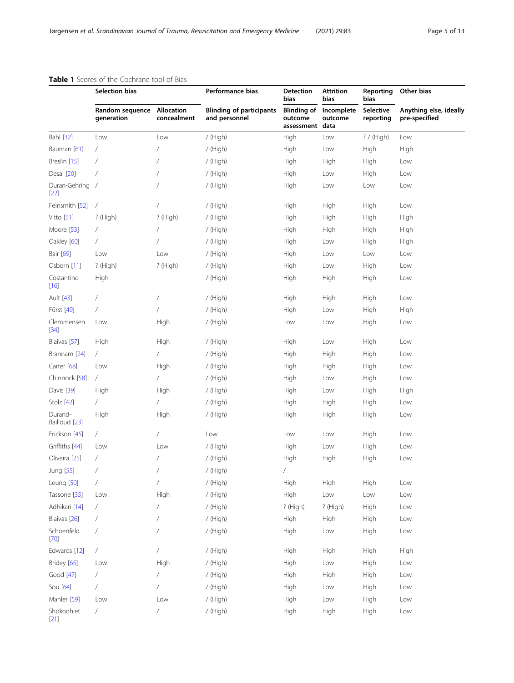|                           | <b>able i</b> better of the cochiance tool of bias<br>Selection bias |             | Performance bias                                 | <b>Detection</b><br>bias                         | Attrition<br>bias     | Reporting<br>bias      | Other bias                              |
|---------------------------|----------------------------------------------------------------------|-------------|--------------------------------------------------|--------------------------------------------------|-----------------------|------------------------|-----------------------------------------|
|                           | Random sequence Allocation<br>generation                             | concealment | <b>Blinding of participants</b><br>and personnel | <b>Blinding of</b><br>outcome<br>assessment data | Incomplete<br>outcome | Selective<br>reporting | Anything else, ideally<br>pre-specified |
| Bahl [32]                 | Low                                                                  | Low         | / (High)                                         | High                                             | Low                   | ? / (High)             | Low                                     |
| Bauman [61]               | $\sqrt{2}$                                                           |             | / (High)                                         | High                                             | Low                   | High                   | High                                    |
| Breslin [15]              | 7                                                                    |             | / (High)                                         | High                                             | High                  | High                   | Low                                     |
| Desai [20]                | $\sqrt{2}$                                                           |             | / (High)                                         | High                                             | Low                   | High                   | Low                                     |
| Duran-Gehring /<br>$[22]$ |                                                                      |             | / (High)                                         | High                                             | Low                   | Low                    | Low                                     |
| Feinsmith [52]            | $\overline{ }$                                                       |             | / (High)                                         | High                                             | High                  | High                   | Low                                     |
| Vitto [51]                | ? (High)                                                             | $?$ (High)  | / (High)                                         | High                                             | High                  | High                   | High                                    |
| Moore [53]                | $\sqrt{2}$                                                           |             | / (High)                                         | High                                             | High                  | High                   | High                                    |
| Oakley [60]               | $\sqrt{2}$                                                           |             | / (High)                                         | High                                             | Low                   | High                   | High                                    |
| Bair [69]                 | Low                                                                  | Low         | / (High)                                         | High                                             | Low                   | Low                    | Low                                     |
| Osborn [11]               | $?$ (High)                                                           | ? (High)    | / (High)                                         | High                                             | Low                   | High                   | Low                                     |
| Costantino<br>$[16]$      | High                                                                 |             | / (High)                                         | High                                             | High                  | High                   | Low                                     |
| Ault [43]                 | /                                                                    |             | / (High)                                         | High                                             | High                  | High                   | Low                                     |
| Fürst [49]                | $\sqrt{2}$                                                           |             | / (High)                                         | High                                             | Low                   | High                   | High                                    |
| Clemmensen<br>$[34]$      | Low                                                                  | High        | / (High)                                         | Low                                              | Low                   | High                   | Low                                     |
| Blaivas [57]              | High                                                                 | High        | / (High)                                         | High                                             | Low                   | High                   | Low                                     |
| Brannam [24]              | $\sqrt{2}$                                                           | T           | / (High)                                         | High                                             | High                  | High                   | Low                                     |
| Carter [68]               | Low                                                                  | High        | / (High)                                         | High                                             | High                  | High                   | Low                                     |
| Chinnock [58]             | 7                                                                    |             | / (High)                                         | High                                             | Low                   | High                   | Low                                     |
| Davis [39]                | High                                                                 | High        | / (High)                                         | High                                             | Low                   | High                   | High                                    |
| Stolz [42]                | $\sqrt{2}$                                                           | 7           | / (High)                                         | High                                             | High                  | High                   | Low                                     |
| Durand-<br>Bailloud [23]  | High                                                                 | High        | / (High)                                         | High                                             | High                  | High                   | Low                                     |
| Erickson [45]             | $\sqrt{2}$                                                           | 7           | Low                                              | Low                                              | Low                   | High                   | Low                                     |
| Griffiths [44]            | Low                                                                  | Low         | / (High)                                         | High                                             | Low                   | High                   | Low                                     |
| Oliveira [25]             | T                                                                    |             | / (High)                                         | High                                             | High                  | High                   | Low                                     |
| Jung [55]                 |                                                                      |             | / (High)                                         |                                                  |                       |                        |                                         |
| Leung [50]                | $\sqrt{2}$                                                           |             | / (High)                                         | High                                             | High                  | High                   | Low                                     |
| Tassone [35]              | Low                                                                  | High        | / (High)                                         | High                                             | Low                   | Low                    | Low                                     |
| Adhikari [14]             | $\sqrt{2}$                                                           |             | / (High)                                         | ? (High)                                         | ? (High)              | High                   | Low                                     |
| Blaivas [26]              | $\overline{1}$                                                       |             | / (High)                                         | High                                             | High                  | High                   | Low                                     |
| Schoenfeld<br>$[70]$      | $\overline{1}$                                                       |             | / (High)                                         | High                                             | Low                   | High                   | Low                                     |
| Edwards [12]              | $\sqrt{2}$                                                           |             | / (High)                                         | High                                             | High                  | High                   | High                                    |
| Bridey [65]               | Low                                                                  | High        | / (High)                                         | High                                             | Low                   | High                   | Low                                     |
| Good [47]                 | $\sqrt{2}$                                                           |             | / (High)                                         | High                                             | High                  | High                   | Low                                     |
| Sou [64]                  | $\sqrt{2}$                                                           |             | / (High)                                         | High                                             | Low                   | High                   | Low                                     |
| Mahler [59]               | Low                                                                  | Low         | / (High)                                         | High                                             | Low                   | High                   | Low                                     |
| Shokoohiet<br>$[21]$      | 7                                                                    |             | / (High)                                         | High                                             | High                  | High                   | Low                                     |

#### <span id="page-4-0"></span>Table 1 Scores of the Cochrane tool of Bias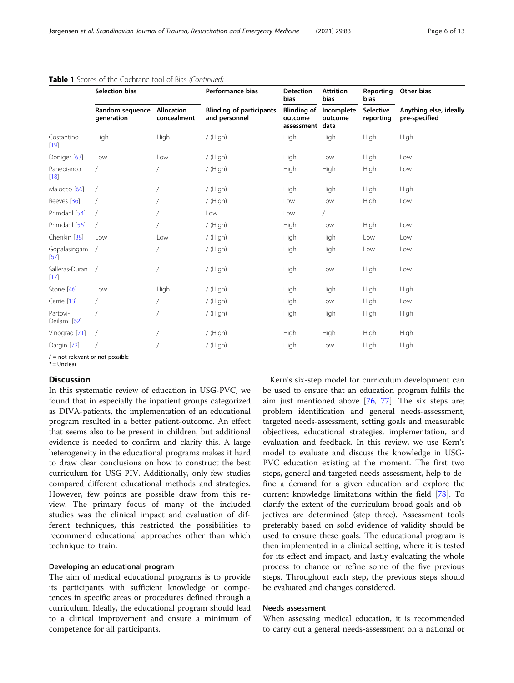|                          | <b>Selection bias</b>         |                                  | Performance bias                                 | <b>Detection</b><br>bias                         | <b>Attrition</b><br><b>bias</b> | Reporting<br><b>bias</b>      | Other bias                              |
|--------------------------|-------------------------------|----------------------------------|--------------------------------------------------|--------------------------------------------------|---------------------------------|-------------------------------|-----------------------------------------|
|                          | Random sequence<br>qeneration | <b>Allocation</b><br>concealment | <b>Blinding of participants</b><br>and personnel | <b>Blinding of</b><br>outcome<br>assessment data | Incomplete<br>outcome           | <b>Selective</b><br>reporting | Anything else, ideally<br>pre-specified |
| Costantino<br>$[19]$     | High                          | High                             | / (High)                                         | High                                             | High                            | High                          | High                                    |
| Doniger [63]             | Low                           | Low                              | / (High)                                         | High                                             | Low                             | High                          | Low                                     |
| Panebianco<br>$[18]$     | $\sqrt{2}$                    |                                  | / (High)                                         | High                                             | High                            | High                          | Low                                     |
| Maiocco <sup>[66]</sup>  | $\overline{1}$                |                                  | / (High)                                         | High                                             | High                            | <b>High</b>                   | High                                    |
| Reeves [36]              | $\prime$                      |                                  | / (High)                                         | Low                                              | Low                             | High                          | Low                                     |
| Primdahl [54]            | $\sqrt{2}$                    |                                  | Low                                              | Low                                              | $\sqrt{2}$                      |                               |                                         |
| Primdahl [56]            | $\sqrt{2}$                    |                                  | / (High)                                         | High                                             | Low                             | High                          | Low                                     |
| Chenkin [38]             | Low                           | Low                              | / (High)                                         | High                                             | High                            | Low                           | Low                                     |
| Gopalasingam<br>[67]     | $\sqrt{ }$                    |                                  | / (High)                                         | High                                             | High                            | Low                           | Low                                     |
| Salleras-Duran<br>$[17]$ | $\overline{\phantom{a}}$      |                                  | / (High)                                         | High                                             | Low                             | High                          | Low                                     |
| Stone [46]               | Low                           | High                             | / (High)                                         | High                                             | High                            | <b>High</b>                   | High                                    |
| Carrie [13]              | $\sqrt{2}$                    |                                  | / (High)                                         | High                                             | Low                             | High                          | Low                                     |
| Partovi-<br>Deilami [62] | $\overline{1}$                |                                  | / (High)                                         | High                                             | High                            | High                          | High                                    |
| Vinograd [71]            | $\overline{1}$                |                                  | / (High)                                         | High                                             | High                            | High                          | High                                    |
| Dargin [72]              |                               |                                  | / (High)                                         | High                                             | Low                             | High                          | High                                    |

#### Table 1 Scores of the Cochrane tool of Bias (Continued)

 $/ =$  not relevant or not possible

 $? =$  Unclear

#### **Discussion**

In this systematic review of education in USG-PVC, we found that in especially the inpatient groups categorized as DIVA-patients, the implementation of an educational program resulted in a better patient-outcome. An effect that seems also to be present in children, but additional evidence is needed to confirm and clarify this. A large heterogeneity in the educational programs makes it hard to draw clear conclusions on how to construct the best curriculum for USG-PIV. Additionally, only few studies compared different educational methods and strategies. However, few points are possible draw from this review. The primary focus of many of the included studies was the clinical impact and evaluation of different techniques, this restricted the possibilities to recommend educational approaches other than which technique to train.

#### Developing an educational program

The aim of medical educational programs is to provide its participants with sufficient knowledge or competences in specific areas or procedures defined through a curriculum. Ideally, the educational program should lead to a clinical improvement and ensure a minimum of competence for all participants.

Kern's six-step model for curriculum development can be used to ensure that an education program fulfils the aim just mentioned above [[76](#page-12-0), [77](#page-12-0)]. The six steps are; problem identification and general needs-assessment, targeted needs-assessment, setting goals and measurable objectives, educational strategies, implementation, and evaluation and feedback. In this review, we use Kern's model to evaluate and discuss the knowledge in USG-PVC education existing at the moment. The first two steps, general and targeted needs-assessment, help to define a demand for a given education and explore the current knowledge limitations within the field [\[78](#page-12-0)]. To clarify the extent of the curriculum broad goals and objectives are determined (step three). Assessment tools preferably based on solid evidence of validity should be used to ensure these goals. The educational program is then implemented in a clinical setting, where it is tested for its effect and impact, and lastly evaluating the whole process to chance or refine some of the five previous steps. Throughout each step, the previous steps should be evaluated and changes considered.

#### Needs assessment

When assessing medical education, it is recommended to carry out a general needs-assessment on a national or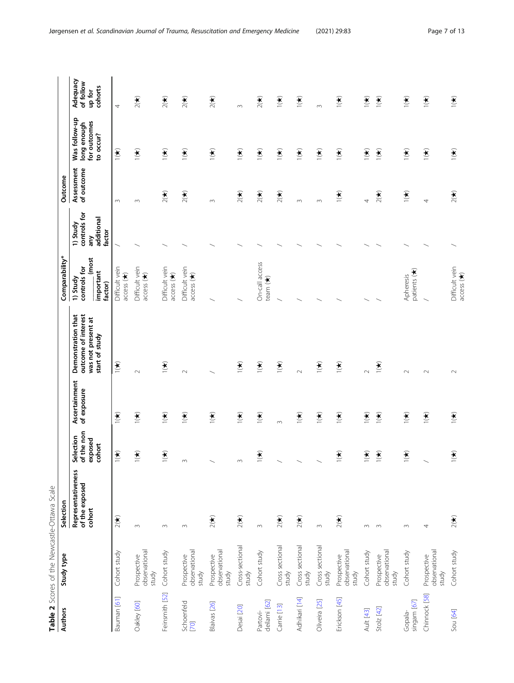<span id="page-6-0"></span>

|                          | Table 2 Scores of the Newcastle-Ottawa Scale |                                                |                                              |                              |                                                                                   |                                                           |                                                         |                          |                                                           |                                            |
|--------------------------|----------------------------------------------|------------------------------------------------|----------------------------------------------|------------------------------|-----------------------------------------------------------------------------------|-----------------------------------------------------------|---------------------------------------------------------|--------------------------|-----------------------------------------------------------|--------------------------------------------|
| <b>Authors</b>           | Study type                                   | Selection                                      |                                              |                              |                                                                                   | Comparability*                                            |                                                         | Outcome                  |                                                           |                                            |
|                          |                                              | Representativeness<br>of the exposed<br>cohort | of the non<br>Selection<br>exposed<br>cohort | Ascertainment<br>of exposure | outcome of interest<br>Demonstration that<br>was not present at<br>start of study | (most<br>controls for<br>important<br>1) Study<br>factor) | controls for<br>additional<br>1) Study<br>factor<br>any | Assessment<br>of outcome | Was follow-up<br>for outcomes<br>long enough<br>to occur? | Adequacy<br>of follow<br>cohorts<br>up for |
| Bauman [61]              | Cohort study                                 | $2(\bigstar)$                                  | $\sum_{i=1}^{n}$                             | $\sum_{i=1}^{n}$             | $\sum_{i=1}^{n}$                                                                  | Difficult vein<br>access (*)                              |                                                         | $\sim$                   | $\mathbf{F}$                                              | 4                                          |
| Oakley [60]              | observational<br>Prospective<br>study        | $\sim$                                         | $\sum_{i=1}^{n}$                             | $\sum_{i=1}^{n}$             | $\sim$                                                                            | Difficult vein<br>access $(\star)$                        |                                                         | $\infty$                 | $\sum_{i=1}^{n}$                                          | $2(\star)$                                 |
| Feinsmith [52]           | Cohort study                                 | $\sim$                                         | $\sum_{i=1}^{n}$                             | $\sum_{i=1}^{n}$             | $\sum_{i=1}^{n}$                                                                  | Difficult vein<br>access (*)                              |                                                         | $2(\star)$               | $\sum_{i=1}^{n}$                                          | $2(\star)$                                 |
| Schoenfeld<br>[70]       | observational<br>Prospective<br>study        | $\sim$                                         | $\sim$                                       | $\sum_{i=1}^{n}$             | $\sim$                                                                            | Difficult vein<br>$\arccess$ ( $\star$ )                  |                                                         | $2($ <del>X</del>        | $\sum_{i=1}^{n}$                                          | $2(\star)$                                 |
| Blaivas [26]             | observational<br>Prospective<br>study        | $2(\star)$                                     |                                              | $\sum_{i=1}^{n}$             |                                                                                   |                                                           |                                                         | $\infty$                 | $\sum_{i=1}^{n}$                                          | $2(\star)$                                 |
| Desai [20]               | Cross-sectional<br>study                     | $2($ $\star)$                                  | $\sim$                                       | $\sum_{i=1}^{n}$             | $\sum_{i=1}^{n}$                                                                  |                                                           |                                                         | $2($ <del>X</del>        | $\sum_{i=1}^{n}$                                          | $\infty$                                   |
| Partovi-<br>deilami [62] | Cohort study                                 | $\sim$                                         | $\sum_{i=1}^{n}$                             | $\sum_{i=1}^{n}$             | $\sum_{i=1}^{n}$                                                                  | On-call access<br>team (*)                                |                                                         | $2(\star)$               | $\sum_{i=1}^{n}$                                          | $2(\star)$                                 |
| Carrie [13]              | Cross sectional<br>study                     | $2(\star)$                                     |                                              | $\infty$                     | $\sum_{i=1}^{n}$                                                                  |                                                           |                                                         | $2(\bigstar)$            | $\sum_{i=1}^{n}$                                          | $\sum_{i=1}^{n}$                           |
| Adhikari [14]            | Cross sectional<br>study                     | $2(\star)$                                     |                                              | $\sum_{i=1}^{n}$             | $\sim$                                                                            |                                                           |                                                         | $\sim$                   | $\sum_{i=1}^{n}$                                          | $\sum_{i=1}^{n}$                           |
| Oliveira [25]            | Cross sectional<br>study                     | $\infty$                                       |                                              | $\mathbf{r}$                 | $\mathbf{r}$                                                                      |                                                           |                                                         | $\sim$                   | $\frac{1}{\sqrt{2}}$                                      | $\infty$                                   |
| Erickson [45]            | observational<br>Prospective<br>study        | $2(\star)$                                     | $\sum_{i=1}^{n}$                             | $\sum_{i=1}^{n}$             | $\sum_{i=1}^{n}$                                                                  |                                                           |                                                         | $\sum_{i=1}^{n}$         | $\sum_{i=1}^{n}$                                          | $\sum_{i=1}^{n}$                           |
| Ault [43]                | Cohort study                                 | $\sim$                                         | $\sum_{i=1}^{n}$                             | $\sum_{i=1}^{n}$             | $\sim$                                                                            |                                                           |                                                         | 4                        | $\sum_{i=1}^{n}$                                          | $\sum_{i=1}^{n}$                           |
| Stolz $[42]$             | observational<br>Prospective<br>study        | $\sim$                                         | $\sum_{i=1}^{n}$                             | $\sum_{i=1}^{n}$             | $\mathbf{r}$                                                                      |                                                           |                                                         | $2(\bigstar)$            | $\sum_{i=1}^{n}$                                          | $\mathbf{r}$                               |
| Gopala-<br>singam [67]   | Cohort study                                 | $\sim$                                         | $\sum_{i=1}^{n}$                             | $\sum_{i=1}^{n}$             | $\sim$                                                                            | patients (*)<br>Apheresis                                 |                                                         | $\sum_{i=1}^{n}$         | $\sum_{i=1}^{n}$                                          | $\sum_{i=1}^{n}$                           |
| Chinnock [58]            | observational<br>Prospective<br>study        | 4                                              |                                              | $\sum_{i=1}^{n}$             | $\sim$                                                                            |                                                           |                                                         | 4                        | $\sum_{i=1}^{n}$                                          | $\sum_{i=1}^{n}$                           |
| Sou [64]                 | Cohort study                                 | $2($ <del>X</del> )                            | $\sum_{i=1}^{n}$                             | $\mathbf{r}$                 | $\sim$                                                                            | Difficult vein<br>access $(\star)$                        |                                                         | $2($ <del>X</del> )      | $\sum_{i=1}^{n}$                                          | $\mathbf{r}$                               |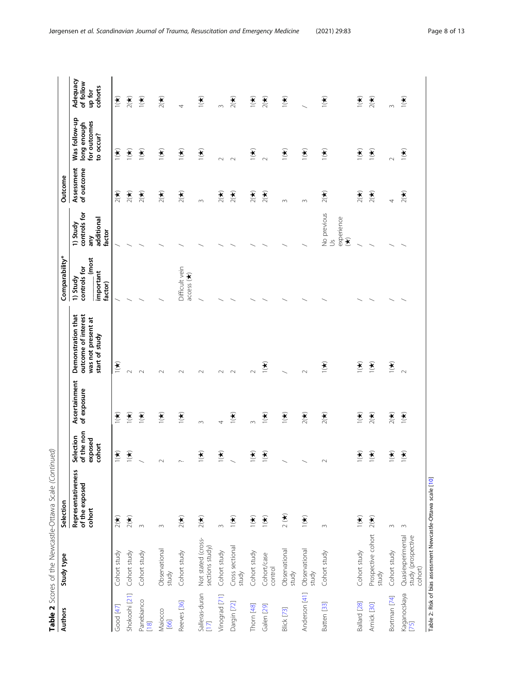| <b>Authors</b>           | Study type                                                   | Selection                                      |                                              |                              |                                                                                   | Comparability*                                            |                                                                              | Outcome                  |                                                           |                                            |
|--------------------------|--------------------------------------------------------------|------------------------------------------------|----------------------------------------------|------------------------------|-----------------------------------------------------------------------------------|-----------------------------------------------------------|------------------------------------------------------------------------------|--------------------------|-----------------------------------------------------------|--------------------------------------------|
|                          |                                                              | Representativeness<br>of the exposed<br>cohort | of the non<br>Selection<br>exposed<br>cohort | Ascertainment<br>of exposure | outcome of interest<br>Demonstration that<br>was not present at<br>start of study | (most<br>controls for<br>important<br>1) Study<br>factor) | controls for<br>additional<br>1) Study<br>factor<br>any                      | Assessment<br>of outcome | Was follow-up<br>for outcomes<br>long enough<br>to occur? | Adequacy<br>of follow<br>cohorts<br>up for |
| Good [47]                | Cohort study                                                 | $2(\star)$                                     | $\sum_{i=1}^{n}$                             | $\mathbf{r}$                 | $\sum_{i=1}^{n}$                                                                  |                                                           |                                                                              | $2(\bigstar)$            | $\mathbf{r}$                                              | $\sum_{i=1}^{n}$                           |
| Shokoohi [21]            | Cohort study                                                 | $2($ <del>X</del> )                            | $\sum_{i=1}^{n}$                             | $\sum_{i=1}^{n}$             | $\sim$                                                                            |                                                           |                                                                              | 2(1)                     | $\mathbf{f}(\mathbf{t})$                                  | $2($ <del>X</del>                          |
| Panebianco<br>[18]       | Cohort study                                                 | $\infty$                                       |                                              | $\mathbf{r}$                 | $\sim$                                                                            |                                                           |                                                                              | $2(\bigstar)$            | $\mathbf{r}$                                              | $\mathbf{r}$                               |
| Maiocco<br>[66]          | Observational<br>study                                       | $\infty$                                       | $\sim$                                       | $\mathbf{r}$                 | $\sim$                                                                            |                                                           |                                                                              | $2(\star)$               | $\mathbf{r}$                                              | $2(\star)$                                 |
| Reeves [36]              | Cohort study                                                 | $2(\bigstar)$                                  | $\sim$                                       | $\sum_{i=1}^{n}$             | $\sim$                                                                            | Difficult vein<br>access (*)                              |                                                                              | $2(\star)$               | $\sum_{i=1}^{n}$                                          | 4                                          |
| Salleras-duran<br>$[17]$ | Not stated (cross-<br>sections study)                        | $2(\bigstar)$                                  | $\sum_{i=1}^{n}$                             | $\infty$                     | $\sim$                                                                            |                                                           |                                                                              | $\infty$                 | $\mathbf{r}$                                              | $\mathbf{r}$                               |
| Vinograd [71]            | Cohort study                                                 | $\infty$                                       | $\sum_{i=1}^{n}$                             | 4                            | $\sim$                                                                            |                                                           |                                                                              | $2(\bigstar)$            | $\sim$                                                    | $\infty$                                   |
| Dargin [72]              | Cross sectional<br>study                                     | $\mathbf{r}$                                   |                                              | $\mathbf{r}$                 | $\sim$                                                                            |                                                           |                                                                              | $2(\bigstar)$            | $\sim$                                                    | $2(\star)$                                 |
| Thorn [48]               | Cohort study                                                 | $\sum_{i=1}^{n}$                               | $\sum_{i=1}^{n}$                             | $\infty$                     | $\sim$                                                                            |                                                           |                                                                              | $2(\star)$               | $\mathbf{r}$                                              | $\sum_{i=1}^{n}$                           |
| Galen [29]               | Cohort/case<br>control                                       | $\sum_{i=1}^{n}$                               | $\sum_{i=1}^{n}$                             | $\sum_{i=1}^{n}$             | $\mathbf{r}$                                                                      |                                                           |                                                                              | $2(\bigstar)$            | $\sim$                                                    | $2(\star)$                                 |
| Blick [73]               | Observational<br>study                                       | $\frac{1}{2}$                                  |                                              | $\sum_{i=1}^{n}$             |                                                                                   |                                                           |                                                                              | $\sim$                   | $\frac{1}{\sqrt{2}}$                                      | $\sum_{i=1}^{n}$                           |
| Anderson [41]            | Observational<br>study                                       | $\sum_{i=1}^{n}$                               |                                              | $2(\star)$                   | $\sim$                                                                            |                                                           |                                                                              | 3                        | $\frac{1}{\sqrt{2}}$                                      |                                            |
| Batten [33]              | Cohort study                                                 | $\infty$                                       | $\sim$                                       | $2(\star)$                   | $\mathbf{r}$                                                                      |                                                           | No previous<br>experience<br>$\widehat{\mathcal{F}}$<br>$\tilde{\mathbf{S}}$ | $\frac{1}{2}$            | $\frac{1}{\sqrt{2}}$                                      | $\mathbf{r}$                               |
| Ballard [28]             | Cohort study                                                 | $\sum_{i=1}^{n}$                               | $\sum_{i=1}^{n}$                             | $\mathbf{r}$                 | $\sum_{i=1}^{n}$                                                                  |                                                           |                                                                              | $2(\bigstar)$            | $\mathbf{r}$                                              | $\sum_{i=1}^{n}$                           |
| Amick [30]               | Prospective cohort<br>study                                  | $2(\star)$                                     | $\sum_{i=1}^{n}$                             | $2($ <del>X</del>            | $\sum_{i=1}^{n}$                                                                  |                                                           |                                                                              | $2(\star)$               | $\sum_{i=1}^{n}$                                          | $2($ <del>X</del> )                        |
| Bortman [74]             | Cohort study                                                 | $\sim$                                         | $\sum_{i=1}^{n}$                             | $2($ <del>X</del>            | $\sum_{i=1}^{n}$                                                                  |                                                           |                                                                              | 4                        | $\sim$                                                    | $\infty$                                   |
| Kaganocskaya<br>[75]     | Quasiexperimental<br>study (prospective<br>cohort)           | $\infty$                                       | $\sum_{i=1}^{n}$                             | $\sum_{i=1}^{n}$             | $\sim$                                                                            |                                                           |                                                                              | $2($ <del>X</del> )      | $\sum_{i=1}^{n}$                                          | $\sum_{i=1}^{n}$                           |
|                          | Table 2: Risk of bias assessment Newcastle-Ottawa scale [10] |                                                |                                              |                              |                                                                                   |                                                           |                                                                              |                          |                                                           |                                            |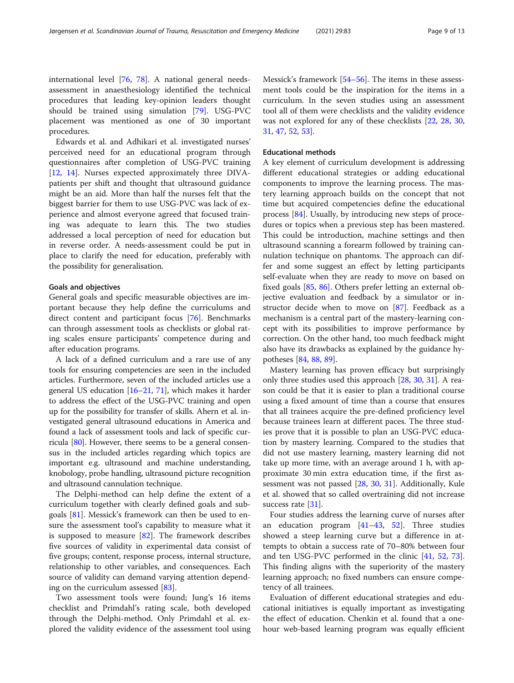international level [[76,](#page-12-0) [78\]](#page-12-0). A national general needsassessment in anaesthesiology identified the technical procedures that leading key-opinion leaders thought should be trained using simulation [\[79](#page-12-0)]. USG-PVC placement was mentioned as one of 30 important procedures.

Edwards et al. and Adhikari et al. investigated nurses' perceived need for an educational program through questionnaires after completion of USG-PVC training [[12,](#page-10-0) [14](#page-10-0)]. Nurses expected approximately three DIVApatients per shift and thought that ultrasound guidance might be an aid. More than half the nurses felt that the biggest barrier for them to use USG-PVC was lack of experience and almost everyone agreed that focused training was adequate to learn this. The two studies addressed a local perception of need for education but in reverse order. A needs-assessment could be put in place to clarify the need for education, preferably with the possibility for generalisation.

#### Goals and objectives

General goals and specific measurable objectives are important because they help define the curriculums and direct content and participant focus [\[76\]](#page-12-0). Benchmarks can through assessment tools as checklists or global rating scales ensure participants' competence during and after education programs.

A lack of a defined curriculum and a rare use of any tools for ensuring competencies are seen in the included articles. Furthermore, seven of the included articles use a general US education [\[16](#page-10-0)–[21](#page-10-0), [71\]](#page-11-0), which makes it harder to address the effect of the USG-PVC training and open up for the possibility for transfer of skills. Ahern et al. investigated general ultrasound educations in America and found a lack of assessment tools and lack of specific curricula [\[80\]](#page-12-0). However, there seems to be a general consensus in the included articles regarding which topics are important e.g. ultrasound and machine understanding, knobology, probe handling, ultrasound picture recognition and ultrasound cannulation technique.

The Delphi-method can help define the extent of a curriculum together with clearly defined goals and subgoals [[81\]](#page-12-0). Messick's framework can then be used to ensure the assessment tool's capability to measure what it is supposed to measure [\[82](#page-12-0)]. The framework describes five sources of validity in experimental data consist of five groups; content, response process, internal structure, relationship to other variables, and consequences. Each source of validity can demand varying attention depending on the curriculum assessed [[83](#page-12-0)].

Two assessment tools were found; Jung's 16 items checklist and Primdahl's rating scale, both developed through the Delphi-method. Only Primdahl et al. explored the validity evidence of the assessment tool using Messick's framework [[54](#page-11-0)–[56\]](#page-11-0). The items in these assessment tools could be the inspiration for the items in a curriculum. In the seven studies using an assessment tool all of them were checklists and the validity evidence was not explored for any of these checklists [\[22](#page-10-0), [28,](#page-10-0) [30](#page-10-0), [31,](#page-10-0) [47](#page-11-0), [52](#page-11-0), [53](#page-11-0)].

#### Educational methods

A key element of curriculum development is addressing different educational strategies or adding educational components to improve the learning process. The mastery learning approach builds on the concept that not time but acquired competencies define the educational process [\[84](#page-12-0)]. Usually, by introducing new steps of procedures or topics when a previous step has been mastered. This could be introduction, machine settings and then ultrasound scanning a forearm followed by training cannulation technique on phantoms. The approach can differ and some suggest an effect by letting participants self-evaluate when they are ready to move on based on fixed goals [[85](#page-12-0), [86\]](#page-12-0). Others prefer letting an external objective evaluation and feedback by a simulator or instructor decide when to move on [\[87](#page-12-0)]. Feedback as a mechanism is a central part of the mastery-learning concept with its possibilities to improve performance by correction. On the other hand, too much feedback might also have its drawbacks as explained by the guidance hypotheses [[84,](#page-12-0) [88,](#page-12-0) [89\]](#page-12-0).

Mastery learning has proven efficacy but surprisingly only three studies used this approach [\[28](#page-10-0), [30](#page-10-0), [31](#page-10-0)]. A reason could be that it is easier to plan a traditional course using a fixed amount of time than a course that ensures that all trainees acquire the pre-defined proficiency level because trainees learn at different paces. The three studies prove that it is possible to plan an USG-PVC education by mastery learning. Compared to the studies that did not use mastery learning, mastery learning did not take up more time, with an average around 1 h, with approximate 30 min extra education time, if the first assessment was not passed [\[28](#page-10-0), [30,](#page-10-0) [31](#page-10-0)]. Additionally, Kule et al. showed that so called overtraining did not increase success rate [\[31](#page-10-0)].

Four studies address the learning curve of nurses after an education program  $[41-43, 52]$  $[41-43, 52]$  $[41-43, 52]$  $[41-43, 52]$  $[41-43, 52]$  $[41-43, 52]$ . Three studies showed a steep learning curve but a difference in attempts to obtain a success rate of 70–80% between four and ten USG-PVC performed in the clinic [\[41](#page-11-0), [52](#page-11-0), [73](#page-12-0)]. This finding aligns with the superiority of the mastery learning approach; no fixed numbers can ensure competency of all trainees.

Evaluation of different educational strategies and educational initiatives is equally important as investigating the effect of education. Chenkin et al. found that a onehour web-based learning program was equally efficient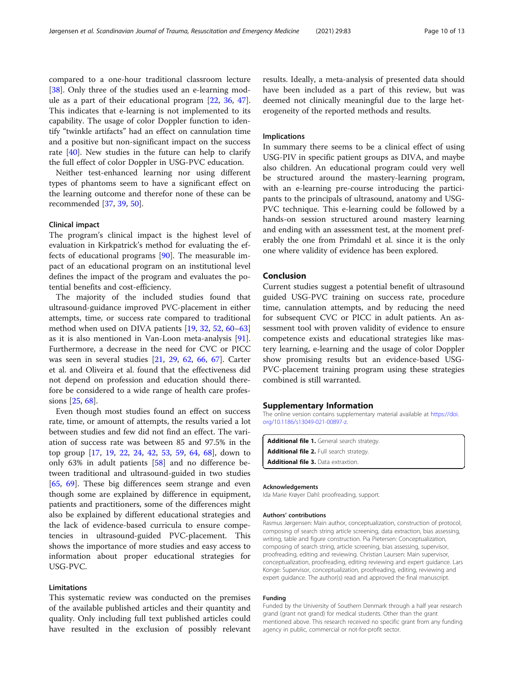<span id="page-9-0"></span>compared to a one-hour traditional classroom lecture [[38\]](#page-11-0). Only three of the studies used an e-learning module as a part of their educational program [\[22](#page-10-0), [36](#page-11-0), [47](#page-11-0)]. This indicates that e-learning is not implemented to its capability. The usage of color Doppler function to identify "twinkle artifacts" had an effect on cannulation time and a positive but non-significant impact on the success rate [[40\]](#page-11-0). New studies in the future can help to clarify the full effect of color Doppler in USG-PVC education.

Neither test-enhanced learning nor using different types of phantoms seem to have a significant effect on the learning outcome and therefor none of these can be recommended [\[37](#page-11-0), [39](#page-11-0), [50](#page-11-0)].

#### Clinical impact

The program's clinical impact is the highest level of evaluation in Kirkpatrick's method for evaluating the effects of educational programs [\[90](#page-12-0)]. The measurable impact of an educational program on an institutional level defines the impact of the program and evaluates the potential benefits and cost-efficiency.

The majority of the included studies found that ultrasound-guidance improved PVC-placement in either attempts, time, or success rate compared to traditional method when used on DIVA patients [[19,](#page-10-0) [32,](#page-10-0) [52,](#page-11-0) [60](#page-11-0)–[63](#page-11-0)] as it is also mentioned in Van-Loon meta-analysis [\[91](#page-12-0)]. Furthermore, a decrease in the need for CVC or PICC was seen in several studies [\[21](#page-10-0), [29](#page-10-0), [62,](#page-11-0) [66](#page-11-0), [67\]](#page-11-0). Carter et al. and Oliveira et al. found that the effectiveness did not depend on profession and education should therefore be considered to a wide range of health care professions [\[25](#page-10-0), [68](#page-11-0)].

Even though most studies found an effect on success rate, time, or amount of attempts, the results varied a lot between studies and few did not find an effect. The variation of success rate was between 85 and 97.5% in the top group [[17,](#page-10-0) [19](#page-10-0), [22](#page-10-0), [24,](#page-10-0) [42,](#page-11-0) [53](#page-11-0), [59](#page-11-0), [64](#page-11-0), [68\]](#page-11-0), down to only 63% in adult patients [\[58](#page-11-0)] and no difference between traditional and ultrasound-guided in two studies [[65,](#page-11-0) [69\]](#page-11-0). These big differences seem strange and even though some are explained by difference in equipment, patients and practitioners, some of the differences might also be explained by different educational strategies and the lack of evidence-based curricula to ensure competencies in ultrasound-guided PVC-placement. This shows the importance of more studies and easy access to information about proper educational strategies for USG-PVC.

#### Limitations

This systematic review was conducted on the premises of the available published articles and their quantity and quality. Only including full text published articles could have resulted in the exclusion of possibly relevant

results. Ideally, a meta-analysis of presented data should have been included as a part of this review, but was deemed not clinically meaningful due to the large heterogeneity of the reported methods and results.

#### Implications

In summary there seems to be a clinical effect of using USG-PIV in specific patient groups as DIVA, and maybe also children. An educational program could very well be structured around the mastery-learning program, with an e-learning pre-course introducing the participants to the principals of ultrasound, anatomy and USG-PVC technique. This e-learning could be followed by a hands-on session structured around mastery learning and ending with an assessment test, at the moment preferably the one from Primdahl et al. since it is the only one where validity of evidence has been explored.

#### Conclusion

Current studies suggest a potential benefit of ultrasound guided USG-PVC training on success rate, procedure time, cannulation attempts, and by reducing the need for subsequent CVC or PICC in adult patients. An assessment tool with proven validity of evidence to ensure competence exists and educational strategies like mastery learning, e-learning and the usage of color Doppler show promising results but an evidence-based USG-PVC-placement training program using these strategies combined is still warranted.

#### Supplementary Information

The online version contains supplementary material available at [https://doi.](https://doi.org/10.1186/s13049-021-00897-z) [org/10.1186/s13049-021-00897-z](https://doi.org/10.1186/s13049-021-00897-z).

```
Additional file 1. General search strategy.
Additional file 2. Full search strategy.
Additional file 3. Data extraxtion.
```
#### Acknowledgements

Ida Marie Krøyer Dahl: proofreading, support.

#### Authors' contributions

Rasmus Jørgensen: Main author, conceptualization, construction of protocol, composing of search string article screening, data extraction, bias assessing, writing, table and figure construction. Pia Pietersen: Conceptualization, composing of search string, article screening, bias assessing, supervisor, proofreading, editing and reviewing. Christian Laursen: Main supervisor, conceptualization, proofreading, editing reviewing and expert guidance. Lars Konge: Supervisor, conceptualization, proofreading, editing, reviewing and expert guidance. The author(s) read and approved the final manuscript.

#### Funding

Funded by the University of Southern Denmark through a half year research grand (grant not grand) for medical students. Other than the grant mentioned above. This research received no specific grant from any funding agency in public, commercial or not-for-profit sector.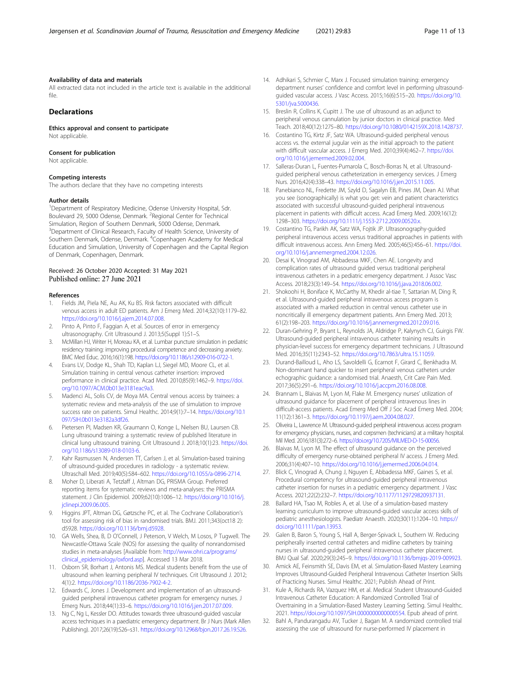<span id="page-10-0"></span>All extracted data not included in the article text is available in the additional file.

#### Declarations

Ethics approval and consent to participate Not applicable.

#### Consent for publication

Not applicable.

#### Competing interests

The authors declare that they have no competing interests

#### Author details

<sup>1</sup>Department of Respiratory Medicine, Odense University Hospital, Sdr. Boulevard 29, 5000 Odense, Denmark. <sup>2</sup>Regional Center for Technical Simulation, Region of Southern Denmark, 5000 Odense, Denmark. <sup>3</sup>Department of Clinical Research, Faculty of Health Science, University of Southern Denmark, Odense, Denmark. <sup>4</sup>Copenhagen Academy for Medical Education and Simulation, University of Copenhagen and the Capital Region of Denmark, Copenhagen, Denmark.

## Received: 26 October 2020 Accepted: 31 May 2021

#### References

- 1. Fields JM, Piela NE, Au AK, Ku BS. Risk factors associated with difficult venous access in adult ED patients. Am J Emerg Med. 2014;32(10):1179–82. [https://doi.org/10.1016/j.ajem.2014.07.008.](https://doi.org/10.1016/j.ajem.2014.07.008)
- 2. Pinto A, Pinto F, Faggian A, et al. Sources of error in emergency ultrasonography. Crit Ultrasound J. 2013;5(Suppl 1):S1–S.
- 3. McMillan HJ, Writer H, Moreau KA, et al. Lumbar puncture simulation in pediatric residency training: improving procedural competence and decreasing anxiety. BMC Med Educ. 2016;16(1):198. <https://doi.org/10.1186/s12909-016-0722-1>.
- 4. Evans LV, Dodge KL, Shah TD, Kaplan LJ, Siegel MD, Moore CL, et al. Simulation training in central venous catheter insertion: improved performance in clinical practice. Acad Med. 2010;85(9):1462–9. [https://doi.](https://doi.org/10.1097/ACM.0b013e3181eac9a3) [org/10.1097/ACM.0b013e3181eac9a3](https://doi.org/10.1097/ACM.0b013e3181eac9a3).
- Madenci AL, Solis CV, de Moya MA. Central venous access by trainees: a systematic review and meta-analysis of the use of simulation to improve success rate on patients. Simul Healthc. 2014;9(1):7–14. [https://doi.org/10.1](https://doi.org/10.1097/SIH.0b013e3182a3df26) [097/SIH.0b013e3182a3df26](https://doi.org/10.1097/SIH.0b013e3182a3df26).
- Pietersen PI, Madsen KR, Graumann O, Konge L, Nielsen BU, Laursen CB. Lung ultrasound training: a systematic review of published literature in clinical lung ultrasound training. Crit Ultrasound J. 2018;10(1):23. [https://doi.](https://doi.org/10.1186/s13089-018-0103-6) [org/10.1186/s13089-018-0103-6](https://doi.org/10.1186/s13089-018-0103-6).
- 7. Kahr Rasmussen N, Andersen TT, Carlsen J, et al. Simulation-based training of ultrasound-guided procedures in radiology - a systematic review. Ultraschall Med. 2019;40(5):584–602. <https://doi.org/10.1055/a-0896-2714>.
- 8. Moher D, Liberati A, Tetzlaff J, Altman DG, PRISMA Group. Preferred reporting items for systematic reviews and meta-analyses: the PRISMA statement. J Clin Epidemiol. 2009;62(10):1006–12. [https://doi.org/10.1016/j.](https://doi.org/10.1016/j.jclinepi.2009.06.005) [jclinepi.2009.06.005](https://doi.org/10.1016/j.jclinepi.2009.06.005).
- 9. Higgins JPT, Altman DG, Gøtzsche PC, et al. The Cochrane Collaboration's tool for assessing risk of bias in randomised trials. BMJ. 2011;343(oct18 2): d5928. [https://doi.org/10.1136/bmj.d5928.](https://doi.org/10.1136/bmj.d5928)
- 10. GA Wells, Shea, B, D O'Connell, J Peterson, V Welch, M Losos, P Tugwell. The Newcastle-Ottawa Scale (NOS) for assessing the quality of nonrandomised studies in meta-analyses [Available from: [http://www.ohri.ca/programs/](http://www.ohri.ca/programs/clinical_epidemiology/oxford.asp) [clinical\\_epidemiology/oxford.asp](http://www.ohri.ca/programs/clinical_epidemiology/oxford.asp)]. Accessed 13 Mar 2018.
- 11. Osborn SR, Borhart J, Antonis MS. Medical students benefit from the use of ultrasound when learning peripheral IV techniques. Crit Ultrasound J. 2012; 4(1):2. [https://doi.org/10.1186/2036-7902-4-2.](https://doi.org/10.1186/2036-7902-4-2)
- 12. Edwards C, Jones J. Development and implementation of an ultrasoundguided peripheral intravenous catheter program for emergency nurses. J Emerg Nurs. 2018;44(1):33–6. <https://doi.org/10.1016/j.jen.2017.07.009>.
- 13. Ng C, Ng L, Kessler DO. Attitudes towards three ultrasound-guided vascular access techniques in a paediatric emergency department. Br J Nurs (Mark Allen Publishing). 2017;26(19):S26–s31. [https://doi.org/10.12968/bjon.2017.26.19.S26.](https://doi.org/10.12968/bjon.2017.26.19.S26)
- 14. Adhikari S, Schmier C, Marx J. Focused simulation training: emergency department nurses' confidence and comfort level in performing ultrasoundguided vascular access. J Vasc Access. 2015;16(6):515–20. [https://doi.org/10.](https://doi.org/10.5301/jva.5000436) [5301/jva.5000436.](https://doi.org/10.5301/jva.5000436)
- 15. Breslin R, Collins K, Cupitt J. The use of ultrasound as an adjunct to peripheral venous cannulation by junior doctors in clinical practice. Med Teach. 2018;40(12):1275–80. <https://doi.org/10.1080/0142159X.2018.1428737>.
- 16. Costantino TG, Kirtz JF, Satz WA. Ultrasound-guided peripheral venous access vs. the external jugular vein as the initial approach to the patient with difficult vascular access. J Emerg Med. 2010;39(4):462–7. [https://doi.](https://doi.org/10.1016/j.jemermed.2009.02.004) [org/10.1016/j.jemermed.2009.02.004](https://doi.org/10.1016/j.jemermed.2009.02.004).
- 17. Salleras-Duran L, Fuentes-Pumarola C, Bosch-Borras N, et al. Ultrasoundguided peripheral venous catheterization in emergency services. J Emerg Nurs. 2016;42(4):338–43. [https://doi.org/10.1016/j.jen.2015.11.005.](https://doi.org/10.1016/j.jen.2015.11.005)
- 18. Panebianco NL, Fredette JM, Szyld D, Sagalyn EB, Pines JM, Dean AJ. What you see (sonographically) is what you get: vein and patient characteristics associated with successful ultrasound-guided peripheral intravenous placement in patients with difficult access. Acad Emerg Med. 2009;16(12): 1298–303. <https://doi.org/10.1111/j.1553-2712.2009.00520.x>.
- 19. Costantino TG, Parikh AK, Satz WA, Fojtik JP. Ultrasonography-guided peripheral intravenous access versus traditional approaches in patients with difficult intravenous access. Ann Emerg Med. 2005;46(5):456–61. [https://doi.](https://doi.org/10.1016/j.annemergmed.2004.12.026) [org/10.1016/j.annemergmed.2004.12.026](https://doi.org/10.1016/j.annemergmed.2004.12.026).
- 20. Desai K, Vinograd AM, Abbadessa MKF, Chen AE. Longevity and complication rates of ultrasound guided versus traditional peripheral intravenous catheters in a pediatric emergency department. J Assoc Vasc Access. 2018;23(3):149–54. <https://doi.org/10.1016/j.java.2018.06.002>.
- 21. Shokoohi H, Boniface K, McCarthy M, Khedir al-tiae T, Sattarian M, Ding R, et al. Ultrasound-guided peripheral intravenous access program is associated with a marked reduction in central venous catheter use in noncritically ill emergency department patients. Ann Emerg Med. 2013; 61(2):198–203. [https://doi.org/10.1016/j.annemergmed.2012.09.016.](https://doi.org/10.1016/j.annemergmed.2012.09.016)
- 22. Duran-Gehring P, Bryant L, Reynolds JA, Aldridge P, Kalynych CJ, Guirgis FW. Ultrasound-guided peripheral intravenous catheter training results in physician-level success for emergency department technicians. J Ultrasound Med. 2016;35(11):2343–52. [https://doi.org/10.7863/ultra.15.11059.](https://doi.org/10.7863/ultra.15.11059)
- 23. Durand-Bailloud L, Aho LS, Savoldelli G, Ecarnot F, Girard C, Benkhadra M. Non-dominant hand quicker to insert peripheral venous catheters under echographic guidance: a randomised trial. Anaesth, Crit Care Pain Med. 2017;36(5):291–6. <https://doi.org/10.1016/j.accpm.2016.08.008>.
- 24. Brannam L, Blaivas M, Lyon M, Flake M. Emergency nurses' utilization of ultrasound guidance for placement of peripheral intravenous lines in difficult-access patients. Acad Emerg Med Off J Soc Acad Emerg Med. 2004; 11(12):1361–3. [https://doi.org/10.1197/j.aem.2004.08.027.](https://doi.org/10.1197/j.aem.2004.08.027)
- 25. Oliveira L, Lawrence M. Ultrasound-guided peripheral intravenous access program for emergency physicians, nurses, and corpsmen (technicians) at a military hospital. Mil Med. 2016;181(3):272–6. [https://doi.org/10.7205/MILMED-D-15-00056.](https://doi.org/10.7205/MILMED-D-15-00056)
- 26. Blaivas M, Lyon M. The effect of ultrasound guidance on the perceived difficulty of emergency nurse-obtained peripheral IV access. J Emerg Med. 2006;31(4):407–10. <https://doi.org/10.1016/j.jemermed.2006.04.014>.
- 27. Blick C, Vinograd A, Chung J, Nguyen E, Abbadessa MKF, Gaines S, et al. Procedural competency for ultrasound-guided peripheral intravenous catheter insertion for nurses in a pediatric emergency department. J Vasc Access. 2021;22(2):232–7. <https://doi.org/10.1177/1129729820937131>.
- 28. Ballard HA, Tsao M, Robles A, et al. Use of a simulation-based mastery learning curriculum to improve ultrasound-guided vascular access skills of pediatric anesthesiologists. Paediatr Anaesth. 2020;30(11):1204–10. [https://](https://doi.org/10.1111/pan.13953) [doi.org/10.1111/pan.13953](https://doi.org/10.1111/pan.13953).
- 29. Galen B, Baron S, Young S, Hall A, Berger-Spivack L, Southern W. Reducing peripherally inserted central catheters and midline catheters by training nurses in ultrasound-guided peripheral intravenous catheter placement. BMJ Qual Saf. 2020;29(3):245–9. [https://doi.org/10.1136/bmjqs-2019-009923.](https://doi.org/10.1136/bmjqs-2019-009923)
- 30. Amick AE, Feinsmith SE, Davis EM, et al. Simulation-Based Mastery Learning Improves Ultrasound-Guided Peripheral Intravenous Catheter Insertion Skills of Practicing Nurses. Simul Healthc. 2021; Publish Ahead of Print.
- 31. Kule A, Richards RA, Vazquez HM, et al. Medical Student Ultrasound-Guided Intravenous Catheter Education: A Randomized Controlled Trial of Overtraining in a Simulation-Based Mastery Learning Setting. Simul Healthc. 2021. [https://doi.org/10.1097/SIH.0000000000000554.](https://doi.org/10.1097/SIH.0000000000000554) Epub ahead of print.
- 32. Bahl A, Pandurangadu AV, Tucker J, Bagan M. A randomized controlled trial assessing the use of ultrasound for nurse-performed IV placement in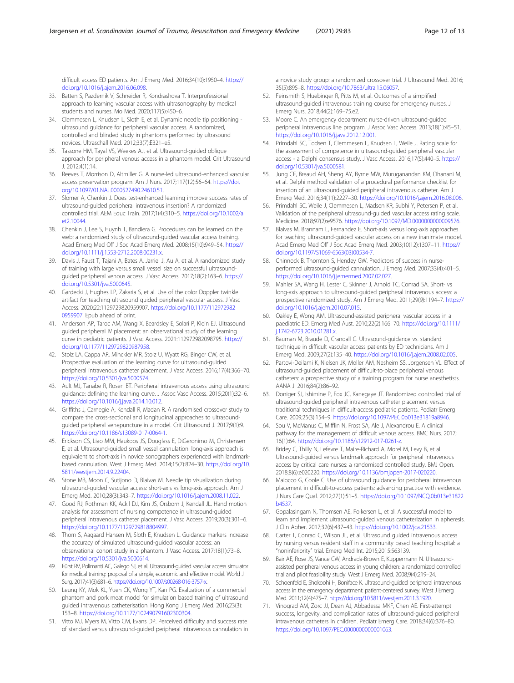<span id="page-11-0"></span>difficult access ED patients. Am J Emerg Med. 2016;34(10):1950–4. [https://](https://doi.org/10.1016/j.ajem.2016.06.098) [doi.org/10.1016/j.ajem.2016.06.098](https://doi.org/10.1016/j.ajem.2016.06.098).

- 33. Batten S, Pazdernik V, Schneider R, Kondrashova T. Interprofessional approach to learning vascular access with ultrasonography by medical students and nurses. Mo Med. 2020;117(5):450–6.
- 34. Clemmesen L, Knudsen L, Sloth E, et al. Dynamic needle tip positioning ultrasound guidance for peripheral vascular access. A randomized, controlled and blinded study in phantoms performed by ultrasound novices. Ultraschall Med. 2012;33(7):E321–e5.
- 35. Tassone HM, Tayal VS, Weekes AJ, et al. Ultrasound-guided oblique approach for peripheral venous access in a phantom model. Crit Ultrasound  $1.20124(1):14$
- 36. Reeves T, Morrison D, Altmiller G. A nurse-led ultrasound-enhanced vascular access preservation program. Am J Nurs. 2017;117(12):56–64. [https://doi.](https://doi.org/10.1097/01.NAJ.0000527490.24610.51) [org/10.1097/01.NAJ.0000527490.24610.51.](https://doi.org/10.1097/01.NAJ.0000527490.24610.51)
- 37. Slomer A, Chenkin J. Does test-enhanced learning improve success rates of ultrasound-guided peripheral intravenous insertion? A randomized controlled trial. AEM Educ Train. 2017;1(4):310–5. [https://doi.org/10.1002/a](https://doi.org/10.1002/aet2.10044) [et2.10044.](https://doi.org/10.1002/aet2.10044)
- 38. Chenkin J, Lee S, Huynh T, Bandiera G. Procedures can be learned on the web: a randomized study of ultrasound-guided vascular access training. Acad Emerg Med Off J Soc Acad Emerg Med. 2008;15(10):949–54. [https://](https://doi.org/10.1111/j.1553-2712.2008.00231.x) [doi.org/10.1111/j.1553-2712.2008.00231.x.](https://doi.org/10.1111/j.1553-2712.2008.00231.x)
- 39. Davis J, Faust T, Tajani A, Bates A, Jarriel J, Au A, et al. A randomized study of training with large versus small vessel size on successful ultrasoundguided peripheral venous access. J Vasc Access. 2017;18(2):163–6. [https://](https://doi.org/10.5301/jva.5000645) [doi.org/10.5301/jva.5000645](https://doi.org/10.5301/jva.5000645).
- 40. Gardecki J, Hughes LP, Zakaria S, et al. Use of the color Doppler twinkle artifact for teaching ultrasound guided peripheral vascular access. J Vasc Access. 2020;22:1129729820959907. [https://doi.org/10.1177/112972982](https://doi.org/10.1177/1129729820959907) [0959907.](https://doi.org/10.1177/1129729820959907) Epub ahead of print.
- 41. Anderson AP, Taroc AM, Wang X, Beardsley E, Solari P, Klein EJ. Ultrasound guided peripheral IV placement: an observational study of the learning curve in pediatric patients. J Vasc Access. 2021:112972982098795. [https://](https://doi.org/10.1177/1129729820987958) [doi.org/10.1177/1129729820987958.](https://doi.org/10.1177/1129729820987958)
- 42. Stolz LA, Cappa AR, Minckler MR, Stolz U, Wyatt RG, Binger CW, et al. Prospective evaluation of the learning curve for ultrasound-guided peripheral intravenous catheter placement. J Vasc Access. 2016;17(4):366–70. [https://doi.org/10.5301/jva.5000574.](https://doi.org/10.5301/jva.5000574)
- 43. Ault MJ, Tanabe R, Rosen BT. Peripheral intravenous access using ultrasound guidance: defining the learning curve. J Assoc Vasc Access. 2015;20(1):32–6. [https://doi.org/10.1016/j.java.2014.10.012.](https://doi.org/10.1016/j.java.2014.10.012)
- 44. Griffiths J, Carnegie A, Kendall R, Madan R. A randomised crossover study to compare the cross-sectional and longitudinal approaches to ultrasoundguided peripheral venepuncture in a model. Crit Ultrasound J. 2017;9(1):9. <https://doi.org/10.1186/s13089-017-0064-1>.
- 45. Erickson CS, Liao MM, Haukoos JS, Douglass E, DiGeronimo M, Christensen E, et al. Ultrasound-guided small vessel cannulation: long-axis approach is equivalent to short-axis in novice sonographers experienced with landmarkbased cannulation. West J Emerg Med. 2014;15(7):824–30. [https://doi.org/10.](https://doi.org/10.5811/westjem.2014.9.22404) [5811/westjem.2014.9.22404](https://doi.org/10.5811/westjem.2014.9.22404).
- 46. Stone MB, Moon C, Sutijono D, Blaivas M. Needle tip visualization during ultrasound-guided vascular access: short-axis vs long-axis approach. Am J Emerg Med. 2010;28(3):343–7. [https://doi.org/10.1016/j.ajem.2008.11.022.](https://doi.org/10.1016/j.ajem.2008.11.022)
- 47. Good RJ, Rothman KK, Ackil DJ, Kim JS, Orsborn J, Kendall JL. Hand motion analysis for assessment of nursing competence in ultrasound-guided peripheral intravenous catheter placement. J Vasc Access. 2019;20(3):301–6. <https://doi.org/10.1177/1129729818804997>.
- 48. Thorn S, Aagaard Hansen M, Sloth E, Knudsen L. Guidance markers increase the accuracy of simulated ultrasound-guided vascular access: an observational cohort study in a phantom. J Vasc Access. 2017;18(1):73–8. [https://doi.org/10.5301/jva.5000614.](https://doi.org/10.5301/jva.5000614)
- 49. Fürst RV, Polimanti AC, Galego SJ, et al. Ultrasound-guided vascular access simulator for medical training: proposal of a simple, economic and effective model. World J Surg. 2017;41(3):681–6. <https://doi.org/10.1007/s00268-016-3757-x>.
- 50. Leung KY, Mok KL, Yuen CK, Wong YT, Kan PG. Evaluation of a commercial phantom and pork meat model for simulation based training of ultrasound guided intravenous catheterisation. Hong Kong J Emerg Med. 2016;23(3): 153–8. [https://doi.org/10.1177/102490791602300304.](https://doi.org/10.1177/102490791602300304)
- 51. Vitto MJ, Myers M, Vitto CM, Evans DP. Perceived difficulty and success rate of standard versus ultrasound-guided peripheral intravenous cannulation in

a novice study group: a randomized crossover trial. J Ultrasound Med. 2016; 35(5):895–8. <https://doi.org/10.7863/ultra.15.06057>.

- 52. Feinsmith S, Huebinger R, Pitts M, et al. Outcomes of a simplified ultrasound-guided intravenous training course for emergency nurses. J Emerg Nurs. 2018;44(2):169–75.e2.
- 53. Moore C. An emergency department nurse-driven ultrasound-guided peripheral intravenous line program. J Assoc Vasc Access. 2013;18(1):45–51. [https://doi.org/10.1016/j.java.2012.12.001.](https://doi.org/10.1016/j.java.2012.12.001)
- 54. Primdahl SC, Todsen T, Clemmesen L, Knudsen L, Weile J. Rating scale for the assessment of competence in ultrasound-guided peripheral vascular access - a Delphi consensus study. J Vasc Access. 2016;17(5):440–5. [https://](https://doi.org/10.5301/jva.5000581) [doi.org/10.5301/jva.5000581](https://doi.org/10.5301/jva.5000581).
- 55. Jung CF, Breaud AH, Sheng AY, Byrne MW, Muruganandan KM, Dhanani M, et al. Delphi method validation of a procedural performance checklist for insertion of an ultrasound-guided peripheral intravenous catheter. Am J Emerg Med. 2016;34(11):2227–30. <https://doi.org/10.1016/j.ajem.2016.08.006>.
- 56. Primdahl SC, Weile J, Clemmesen L, Madsen KR, Subhi Y, Petersen P, et al. Validation of the peripheral ultrasound-guided vascular access rating scale. Medicine. 2018;97(2):e9576. [https://doi.org/10.1097/MD.0000000000009576.](https://doi.org/10.1097/MD.0000000000009576)
- 57. Blaivas M, Brannam L, Fernandez E. Short-axis versus long-axis approaches for teaching ultrasound-guided vascular access on a new inanimate model. Acad Emerg Med Off J Soc Acad Emerg Med. 2003;10(12):1307–11. [https://](https://doi.org/10.1197/S1069-6563(03)00534-7) [doi.org/10.1197/S1069-6563\(03\)00534-7](https://doi.org/10.1197/S1069-6563(03)00534-7).
- 58. Chinnock B, Thornton S, Hendey GW. Predictors of success in nurseperformed ultrasound-guided cannulation. J Emerg Med. 2007;33(4):401–5. <https://doi.org/10.1016/j.jemermed.2007.02.027>.
- 59. Mahler SA, Wang H, Lester C, Skinner J, Arnold TC, Conrad SA. Short- vs long-axis approach to ultrasound-guided peripheral intravenous access: a prospective randomized study. Am J Emerg Med. 2011;29(9):1194–7. [https://](https://doi.org/10.1016/j.ajem.2010.07.015) [doi.org/10.1016/j.ajem.2010.07.015](https://doi.org/10.1016/j.ajem.2010.07.015).
- 60. Oakley E, Wong AM. Ultrasound-assisted peripheral vascular access in a paediatric ED. Emerg Med Aust. 2010;22(2):166–70. [https://doi.org/10.1111/](https://doi.org/10.1111/j.1742-6723.2010.01281.x) [j.1742-6723.2010.01281.x](https://doi.org/10.1111/j.1742-6723.2010.01281.x).
- 61. Bauman M, Braude D, Crandall C. Ultrasound-guidance vs. standard technique in difficult vascular access patients by ED technicians. Am J Emerg Med. 2009;27(2):135–40. <https://doi.org/10.1016/j.ajem.2008.02.005>.
- 62. Partovi-Deilami K, Nielsen JK, Moller AM, Nesheim SS, Jorgensen VL. Effect of ultrasound-guided placement of difficult-to-place peripheral venous catheters: a prospective study of a training program for nurse anesthetists. AANA J. 2016;84(2):86–92.
- 63. Doniger SJ, Ishimine P, Fox JC, Kanegaye JT. Randomized controlled trial of ultrasound-guided peripheral intravenous catheter placement versus traditional techniques in difficult-access pediatric patients. Pediatr Emerg Care. 2009;25(3):154–9. <https://doi.org/10.1097/PEC.0b013e31819a8946>.
- 64. Sou V, McManus C, Mifflin N, Frost SA, Ale J, Alexandrou E. A clinical pathway for the management of difficult venous access. BMC Nurs. 2017; 16(1):64. [https://doi.org/10.1186/s12912-017-0261-z.](https://doi.org/10.1186/s12912-017-0261-z)
- 65. Bridey C, Thilly N, Lefevre T, Maire-Richard A, Morel M, Levy B, et al. Ultrasound-guided versus landmark approach for peripheral intravenous access by critical care nurses: a randomised controlled study. BMJ Open. 2018;8(6):e020220. [https://doi.org/10.1136/bmjopen-2017-020220.](https://doi.org/10.1136/bmjopen-2017-020220)
- 66. Maiocco G, Coole C. Use of ultrasound guidance for peripheral intravenous placement in difficult-to-access patients: advancing practice with evidence. J Nurs Care Qual. 2012;27(1):51–5. [https://doi.org/10.1097/NCQ.0b013e31822](https://doi.org/10.1097/NCQ.0b013e31822b4537) [b4537](https://doi.org/10.1097/NCQ.0b013e31822b4537).
- 67. Gopalasingam N, Thomsen AE, Folkersen L, et al. A successful model to learn and implement ultrasound-guided venous catheterization in apheresis. J Clin Apher. 2017;32(6):437–43. [https://doi.org/10.1002/jca.21533.](https://doi.org/10.1002/jca.21533)
- 68. Carter T, Conrad C, Wilson JL, et al. Ultrasound guided intravenous access by nursing versus resident staff in a community based teaching hospital: a "noninferiority" trial. Emerg Med Int. 2015;2015:563139.
- 69. Bair AE, Rose JS, Vance CW, Andrada-Brown E, Kuppermann N. Ultrasoundassisted peripheral venous access in young children: a randomized controlled trial and pilot feasibility study. West J Emerg Med. 2008;9(4):219–24.
- 70. Schoenfeld E, Shokoohi H, Boniface K. Ultrasound-guided peripheral intravenous access in the emergency department: patient-centered survey. West J Emerg Med. 2011;12(4):475–7. <https://doi.org/10.5811/westjem.2011.3.1920>.
- 71. Vinograd AM, Zorc JJ, Dean AJ, Abbadessa MKF, Chen AE. First-attempt success, longevity, and complication rates of ultrasound-guided peripheral intravenous catheters in children. Pediatr Emerg Care. 2018;34(6):376–80. [https://doi.org/10.1097/PEC.0000000000001063.](https://doi.org/10.1097/PEC.0000000000001063)